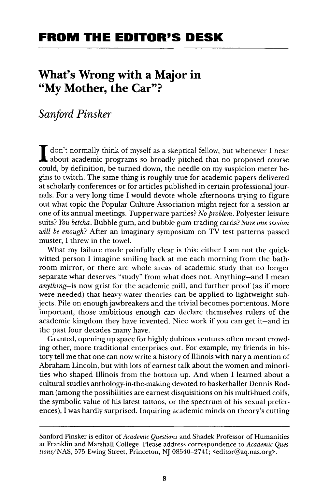## **FROM THE EDITOR'S DESK**

## **What's Wrong with a Major in "My Mother, the Car"?**

## *Sanford Pinsker*

I don't normally think of myself as a skeptical fellow, but whenever I hear about academic programs so broadly pitched that no proposed course could, by definition, be turned down, the needle on my suspicion meter begins to twitch. The same thing is roughly true for academic papers delivered at scholarly conferences or for articles published in certain professional journals. For a very long time I would devote whole afternoons trying to figure out what topic the Popular Culture Association might reject for a session at one of its annual meetings. Tupperware parties? *No problem.* Polyester leisure suits? *You betcha.* Bubble gum, and bubble gum trading cards? *Sure one session will be enough?* After an imaginary symposium on TV test patterns passed muster, I threw in the towel.

What my failure made painfully clear is this: either I am not the quickwitted person I imagine smiling back at me each morning from the bathroom mirror, or there are whole areas of academic study that no longer separate what deserves "study" from what does not. Anything-and I mean *anything-is* now grist for the academic mill, and further proof (as if more were needed) that heavy-water theories can be applied to lightweight subjects. Pile on enough jawbreakers and the trivial becomes portentous. More important, those ambitious enough can declare themselves rulers of the academic kingdom they have invented. Nice work if you can get it-and in the past four decades many have.

Granted, opening up space for highly dubious ventures often meant crowding other, more traditional enterprises out. For example, my friends in history tell me that one can now write a history of Illinois with nary a mention of Abraham Lincoln, but with lots of earnest talk about the women and minorities who shaped Illinois from the bottom up. And when I learned about a cultural studies anthology-in-the-making devoted to basketballer Dennis Rodman (among the possibilities are earnest disquisitions on his multi-hued coifs, the symbolic value of his latest tattoos, or the spectrum of his sexual preferences), I was hardly surprised. Inquiring academic minds on theory's cutting

Sanford Pinsker is editor of *Academic Questions* and Shadek Professor of Humanities at Franklin and Marshall College, Please address correspondence to *Academic Questions/NAS,* 575 Ewing Street, Princeton, NJ 08540-2741; <editor@aq.nas.org>.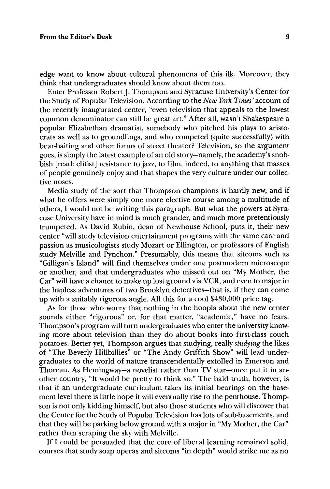edge want to know about cultural phenomena of this ilk. Moreover, they think that undergraduates should know about them too.

Enter Professor Robert J. Thompson and Syracuse University's Center for the Study of Popular Television. According to the *New York Times'* account of the recently inaugurated center, "even television that appeals to the lowest common denominator can still be great art." After all, wasn't Shakespeare a popular Elizabethan dramatist, somebody who pitched his plays to aristocrats as well as to groundlings, and who competed (quite successfully) with bear-baiting and other forms of street theater? Television, so the argument goes, is simply the latest example of an old story-namely, the academy's snobbish [read: elitist] resistance to jazz, to film, indeed, to anything that masses of people genuinely enjoy and that shapes the very culture under our collective noses.

Media study of the sort that Thompson champions is hardly new, and if what he offers were simply one more elective course among a multitude of others, I would not be writing this paragraph. But what the powers at Syracuse University have in mind is much grander, and much more pretentiously trumpeted. As David Rubin, dean of Newhouse School, puts it, their new center "will study television entertainment programs with the same care and passion as musicologists study Mozart or Ellington, or professors of English study Melville and Pynchon." Presumably, this means that sitcoms such as "Gilligan's Island" will find themselves under one postmodern microscope or another, and that undergraduates who missed out on "My Mother, the Car" will have a chance to make up lost ground via VCR, and even to major in the hapless adventures of two Brooklyn detectives-that is, if they can come up with a suitably rigorous angle. All this for a cool \$430,000 price tag.

As for those who worry that nothing in the hoopla about the new center sounds either "rigorous" or, for that matter, "academic," have no fears. Thompson's program will turn undergraduates who enter the university knowing more about television than they do about books into first-class couch potatoes. Better yet, Thompson argues that studying, really *studying* the likes of "The Beverly Hillbillies" or "The Andy Griffith Show" will lead undergraduates to the world of nature transcendentally extolled in Emerson and Thoreau. As Hemingway-a novelist rather than TV star-once put it in another country, "It would be pretty to think so." The bald truth, however, is that if an undergraduate curriculum takes its initial bearings on the basement level there is little hope it will eventually rise to the penthouse. Thompson is not only kidding himself, but also those students who will discover that the Center for the Study of Popular Television has lots of sub-basements, and that they will be parking below ground with a major in "My Mother, the Car" rather than scraping the sky with Melville.

If I could be persuaded that the core of liberal learning remained solid, courses that study soap operas and sitcoms "in depth" would strike me as no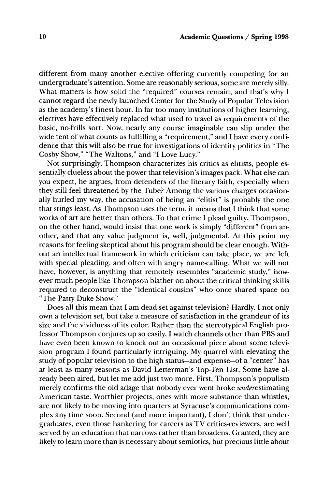different from many another elective offering currently competing for an undergraduate's attention. Some are reasonably serious, some are merely silly. What matters is how solid the "required" courses remain, and that's why I cannot regard the newly launched Center for the Study of Popular Television as the academy's finest hour. In far too many institutions of higher learning, electives have effectively replaced what used to travel as requirements of the basic, no-frills sort. Now, nearly any course imaginable can slip under the wide tent of what counts as fulfilling a "requirement," and I have every confidence that this will also be true for investigations of identity politics in "The Cosby Show," "The Waltons," and "I Love Lucy."

Not surprisingly, Thompson characterizes his critics as elitists, people essentially clueless about the power that television's images pack. What else can you expect, he argues, from defenders of the literary faith, especially when they still feel threatened by the Tube? Among the various charges occasionally hurled my way, the accusation of being an "elitist" is probably the one that stings least. As Thompson uses the term, it means that I think that some works of art are better than others. To that crime I plead guilty. Thompson, on the other hand, would insist that one work is simply "different" from another, and that any value judgment is, well, judgmental. At this point my reasons for feeling skeptical about his program should be clear enough. Without an intellectual framework in which criticism can take place, we are left with special pleading, and often with angry name-calling. What we will not have, however, is anything that remotely resembles "academic study," however much people like Thompson blather on about the critical thinking skills required to deconstruct the "identical cousins" who once shared space on "The Patty Duke Show."

Does all this mean that I am dead-set against television? Hardly. I not only own a television set, but take a measure of satisfaction in the grandeur of its size and the vividness of its color. Rather than the stereotypical English professor Thompson conjures up so easily, I watch channels other than PBS and have even been known to knock out an occasional piece about some television program I found particularly intriguing. My quarrel with elevating the study of popular television to the high status-and expense-of a "center" has at least as many reasons as David Letterman's Top-Ten List. Some have already been aired, but let me add just two more. First, Thompson's populism merely confirms the old adage that nobody ever went broke *underestimating*  American taste. Worthier projects, ones with more substance than whistles, are not likely to be moving into quarters at Syracuse's communications complex any time soon. Second (and more important), I don't think that undergraduates, even those hankering for careers as TV critics-reviewers, are well served by an education that narrows rather than broadens. Granted, they are likely to learn more than is necessary about semiotics, but precious little about